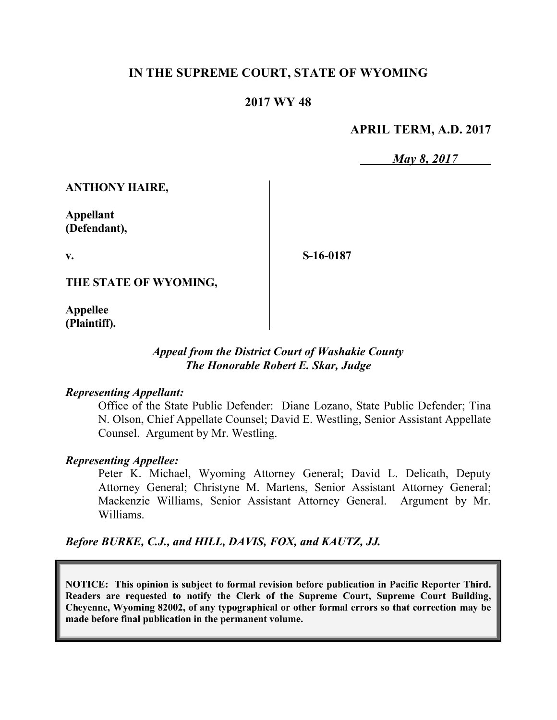# **IN THE SUPREME COURT, STATE OF WYOMING**

## **2017 WY 48**

### **APRIL TERM, A.D. 2017**

*May 8, 2017*

**ANTHONY HAIRE,**

**Appellant (Defendant),**

**v.**

**S-16-0187**

**THE STATE OF WYOMING,**

**Appellee (Plaintiff).**

### *Appeal from the District Court of Washakie County The Honorable Robert E. Skar, Judge*

#### *Representing Appellant:*

Office of the State Public Defender: Diane Lozano, State Public Defender; Tina N. Olson, Chief Appellate Counsel; David E. Westling, Senior Assistant Appellate Counsel. Argument by Mr. Westling.

#### *Representing Appellee:*

Peter K. Michael, Wyoming Attorney General; David L. Delicath, Deputy Attorney General; Christyne M. Martens, Senior Assistant Attorney General; Mackenzie Williams, Senior Assistant Attorney General. Argument by Mr. Williams.

*Before BURKE, C.J., and HILL, DAVIS, FOX, and KAUTZ, JJ.*

**NOTICE: This opinion is subject to formal revision before publication in Pacific Reporter Third. Readers are requested to notify the Clerk of the Supreme Court, Supreme Court Building, Cheyenne, Wyoming 82002, of any typographical or other formal errors so that correction may be made before final publication in the permanent volume.**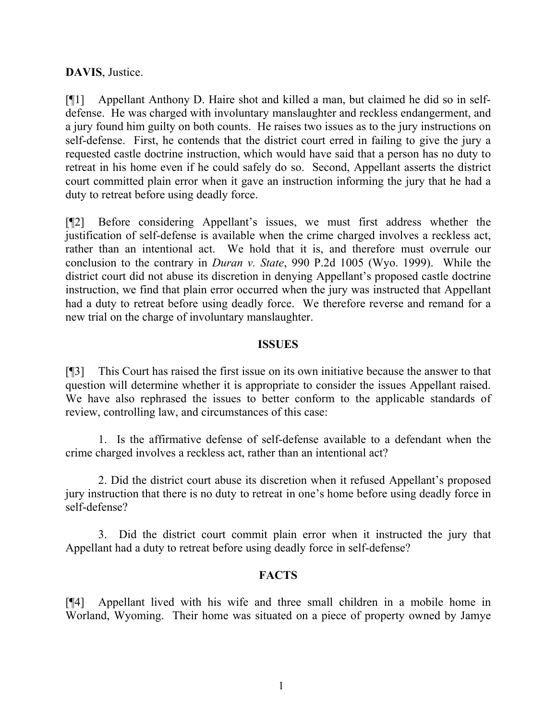### **DAVIS**, Justice.

[¶1] Appellant Anthony D. Haire shot and killed a man, but claimed he did so in selfdefense. He was charged with involuntary manslaughter and reckless endangerment, and a jury found him guilty on both counts. He raises two issues as to the jury instructions on self-defense. First, he contends that the district court erred in failing to give the jury a requested castle doctrine instruction, which would have said that a person has no duty to retreat in his home even if he could safely do so. Second, Appellant asserts the district court committed plain error when it gave an instruction informing the jury that he had a duty to retreat before using deadly force.

[¶2] Before considering Appellant's issues, we must first address whether the justification of self-defense is available when the crime charged involves a reckless act, rather than an intentional act. We hold that it is, and therefore must overrule our conclusion to the contrary in *Duran v. State*, 990 P.2d 1005 (Wyo. 1999). While the district court did not abuse its discretion in denying Appellant's proposed castle doctrine instruction, we find that plain error occurred when the jury was instructed that Appellant had a duty to retreat before using deadly force. We therefore reverse and remand for a new trial on the charge of involuntary manslaughter.

#### **ISSUES**

[¶3] This Court has raised the first issue on its own initiative because the answer to that question will determine whether it is appropriate to consider the issues Appellant raised. We have also rephrased the issues to better conform to the applicable standards of review, controlling law, and circumstances of this case:

1. Is the affirmative defense of self-defense available to a defendant when the crime charged involves a reckless act, rather than an intentional act?

2. Did the district court abuse its discretion when it refused Appellant's proposed jury instruction that there is no duty to retreat in one's home before using deadly force in self-defense?

3. Did the district court commit plain error when it instructed the jury that Appellant had a duty to retreat before using deadly force in self-defense?

## **FACTS**

[¶4] Appellant lived with his wife and three small children in a mobile home in Worland, Wyoming. Their home was situated on a piece of property owned by Jamye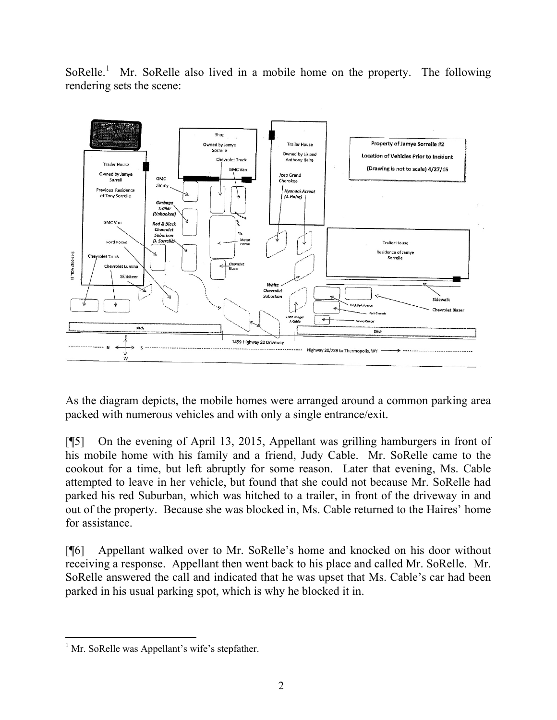SoRelle.<sup>1</sup> Mr. SoRelle also lived in a mobile home on the property. The following rendering sets the scene:



As the diagram depicts, the mobile homes were arranged around a common parking area packed with numerous vehicles and with only a single entrance/exit.

[¶5] On the evening of April 13, 2015, Appellant was grilling hamburgers in front of his mobile home with his family and a friend, Judy Cable. Mr. SoRelle came to the cookout for a time, but left abruptly for some reason. Later that evening, Ms. Cable attempted to leave in her vehicle, but found that she could not because Mr. SoRelle had parked his red Suburban, which was hitched to a trailer, in front of the driveway in and out of the property. Because she was blocked in, Ms. Cable returned to the Haires' home for assistance.

[¶6] Appellant walked over to Mr. SoRelle's home and knocked on his door without receiving a response. Appellant then went back to his place and called Mr. SoRelle. Mr. SoRelle answered the call and indicated that he was upset that Ms. Cable's car had been parked in his usual parking spot, which is why he blocked it in.

l <sup>1</sup> Mr. SoRelle was Appellant's wife's stepfather.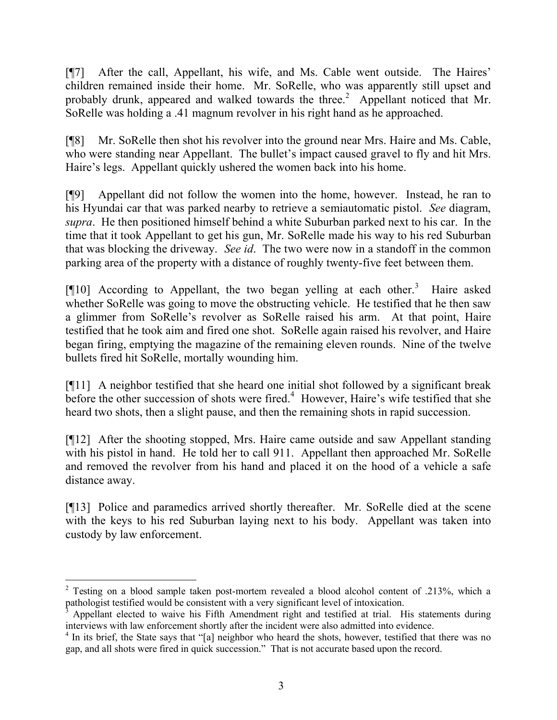[¶7] After the call, Appellant, his wife, and Ms. Cable went outside. The Haires' children remained inside their home. Mr. SoRelle, who was apparently still upset and probably drunk, appeared and walked towards the three.<sup>2</sup> Appellant noticed that Mr. SoRelle was holding a .41 magnum revolver in his right hand as he approached.

[¶8] Mr. SoRelle then shot his revolver into the ground near Mrs. Haire and Ms. Cable, who were standing near Appellant. The bullet's impact caused gravel to fly and hit Mrs. Haire's legs. Appellant quickly ushered the women back into his home.

[¶9] Appellant did not follow the women into the home, however. Instead, he ran to his Hyundai car that was parked nearby to retrieve a semiautomatic pistol. *See* diagram, *supra*. He then positioned himself behind a white Suburban parked next to his car. In the time that it took Appellant to get his gun, Mr. SoRelle made his way to his red Suburban that was blocking the driveway. *See id*. The two were now in a standoff in the common parking area of the property with a distance of roughly twenty-five feet between them.

[¶10] According to Appellant, the two began yelling at each other.<sup>3</sup> Haire asked whether SoRelle was going to move the obstructing vehicle. He testified that he then saw a glimmer from SoRelle's revolver as SoRelle raised his arm. At that point, Haire testified that he took aim and fired one shot. SoRelle again raised his revolver, and Haire began firing, emptying the magazine of the remaining eleven rounds. Nine of the twelve bullets fired hit SoRelle, mortally wounding him.

[¶11] A neighbor testified that she heard one initial shot followed by a significant break before the other succession of shots were fired.<sup>4</sup> However, Haire's wife testified that she heard two shots, then a slight pause, and then the remaining shots in rapid succession.

[¶12] After the shooting stopped, Mrs. Haire came outside and saw Appellant standing with his pistol in hand. He told her to call 911. Appellant then approached Mr. SoRelle and removed the revolver from his hand and placed it on the hood of a vehicle a safe distance away.

[¶13] Police and paramedics arrived shortly thereafter. Mr. SoRelle died at the scene with the keys to his red Suburban laying next to his body. Appellant was taken into custody by law enforcement.

 <sup>2</sup> Testing on a blood sample taken post-mortem revealed a blood alcohol content of .213%, which a pathologist testified would be consistent with a very significant level of intoxication.

Appellant elected to waive his Fifth Amendment right and testified at trial. His statements during interviews with law enforcement shortly after the incident were also admitted into evidence.

<sup>&</sup>lt;sup>4</sup> In its brief, the State says that "[a] neighbor who heard the shots, however, testified that there was no gap, and all shots were fired in quick succession." That is not accurate based upon the record.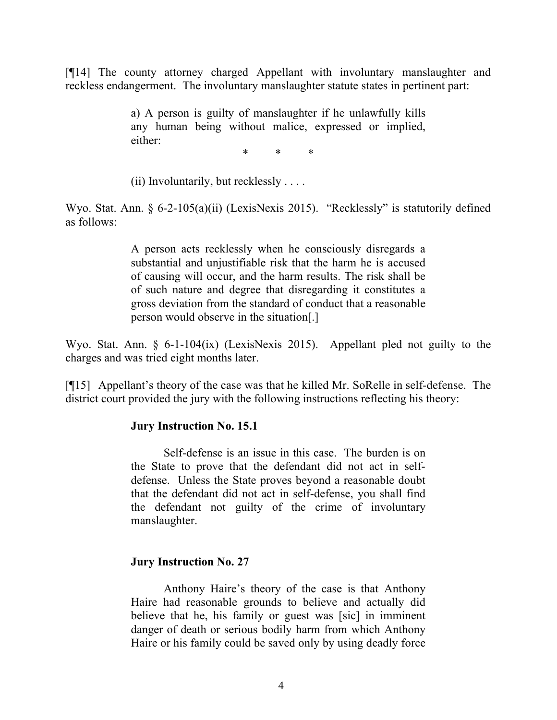[¶14] The county attorney charged Appellant with involuntary manslaughter and reckless endangerment. The involuntary manslaughter statute states in pertinent part:

> a) A person is guilty of manslaughter if he unlawfully kills any human being without malice, expressed or implied, either:

> > \* \* \*

(ii) Involuntarily, but recklessly  $\dots$ .

Wyo. Stat. Ann. § 6-2-105(a)(ii) (LexisNexis 2015). "Recklessly" is statutorily defined as follows:

> A person acts recklessly when he consciously disregards a substantial and unjustifiable risk that the harm he is accused of causing will occur, and the harm results. The risk shall be of such nature and degree that disregarding it constitutes a gross deviation from the standard of conduct that a reasonable person would observe in the situation[.]

Wyo. Stat. Ann. § 6-1-104(ix) (LexisNexis 2015). Appellant pled not guilty to the charges and was tried eight months later.

[¶15] Appellant's theory of the case was that he killed Mr. SoRelle in self-defense. The district court provided the jury with the following instructions reflecting his theory:

#### **Jury Instruction No. 15.1**

Self-defense is an issue in this case. The burden is on the State to prove that the defendant did not act in selfdefense. Unless the State proves beyond a reasonable doubt that the defendant did not act in self-defense, you shall find the defendant not guilty of the crime of involuntary manslaughter.

#### **Jury Instruction No. 27**

Anthony Haire's theory of the case is that Anthony Haire had reasonable grounds to believe and actually did believe that he, his family or guest was [sic] in imminent danger of death or serious bodily harm from which Anthony Haire or his family could be saved only by using deadly force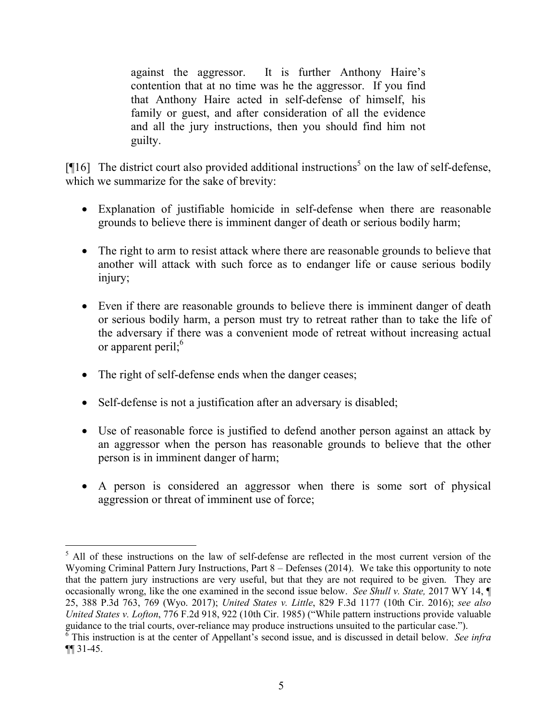against the aggressor. It is further Anthony Haire's contention that at no time was he the aggressor. If you find that Anthony Haire acted in self-defense of himself, his family or guest, and after consideration of all the evidence and all the jury instructions, then you should find him not guilty.

[ $[16]$  The district court also provided additional instructions<sup>5</sup> on the law of self-defense, which we summarize for the sake of brevity:

- Explanation of justifiable homicide in self-defense when there are reasonable grounds to believe there is imminent danger of death or serious bodily harm;
- The right to arm to resist attack where there are reasonable grounds to believe that another will attack with such force as to endanger life or cause serious bodily injury;
- Even if there are reasonable grounds to believe there is imminent danger of death or serious bodily harm, a person must try to retreat rather than to take the life of the adversary if there was a convenient mode of retreat without increasing actual or apparent peril; $6<sup>6</sup>$
- The right of self-defense ends when the danger ceases;
- Self-defense is not a justification after an adversary is disabled;
- Use of reasonable force is justified to defend another person against an attack by an aggressor when the person has reasonable grounds to believe that the other person is in imminent danger of harm;
- A person is considered an aggressor when there is some sort of physical aggression or threat of imminent use of force;

 $\overline{a}$ <sup>5</sup> All of these instructions on the law of self-defense are reflected in the most current version of the Wyoming Criminal Pattern Jury Instructions, Part 8 – Defenses (2014). We take this opportunity to note that the pattern jury instructions are very useful, but that they are not required to be given. They are occasionally wrong, like the one examined in the second issue below. *See Shull v. State,* 2017 WY 14, ¶ 25, 388 P.3d 763, 769 (Wyo. 2017); *United States v. Little*, 829 F.3d 1177 (10th Cir. 2016); *see also United States v. Lofton*, 776 F.2d 918, 922 (10th Cir. 1985) ("While pattern instructions provide valuable guidance to the trial courts, over-reliance may produce instructions unsuited to the particular case.").

<sup>6</sup> This instruction is at the center of Appellant's second issue, and is discussed in detail below. *See infra* ¶¶ 31-45.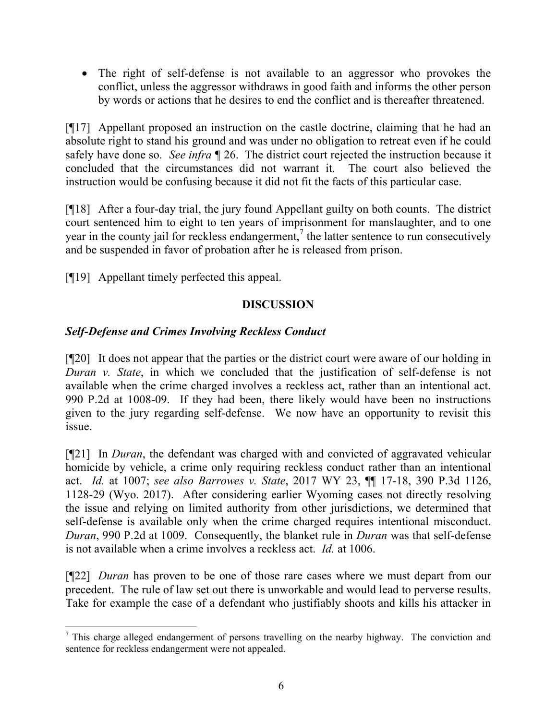The right of self-defense is not available to an aggressor who provokes the conflict, unless the aggressor withdraws in good faith and informs the other person by words or actions that he desires to end the conflict and is thereafter threatened.

[¶17] Appellant proposed an instruction on the castle doctrine, claiming that he had an absolute right to stand his ground and was under no obligation to retreat even if he could safely have done so. *See infra* ¶ 26. The district court rejected the instruction because it concluded that the circumstances did not warrant it. The court also believed the instruction would be confusing because it did not fit the facts of this particular case.

[¶18] After a four-day trial, the jury found Appellant guilty on both counts. The district court sentenced him to eight to ten years of imprisonment for manslaughter, and to one year in the county jail for reckless endangerment,<sup>7</sup> the latter sentence to run consecutively and be suspended in favor of probation after he is released from prison.

[¶19] Appellant timely perfected this appeal.

# **DISCUSSION**

# *Self-Defense and Crimes Involving Reckless Conduct*

[¶20] It does not appear that the parties or the district court were aware of our holding in *Duran v. State*, in which we concluded that the justification of self-defense is not available when the crime charged involves a reckless act, rather than an intentional act. 990 P.2d at 1008-09. If they had been, there likely would have been no instructions given to the jury regarding self-defense. We now have an opportunity to revisit this issue.

[¶21] In *Duran*, the defendant was charged with and convicted of aggravated vehicular homicide by vehicle, a crime only requiring reckless conduct rather than an intentional act. *Id.* at 1007; *see also Barrowes v. State*, 2017 WY 23, ¶¶ 17-18, 390 P.3d 1126, 1128-29 (Wyo. 2017). After considering earlier Wyoming cases not directly resolving the issue and relying on limited authority from other jurisdictions, we determined that self-defense is available only when the crime charged requires intentional misconduct. *Duran*, 990 P.2d at 1009. Consequently, the blanket rule in *Duran* was that self-defense is not available when a crime involves a reckless act. *Id.* at 1006.

[¶22] *Duran* has proven to be one of those rare cases where we must depart from our precedent. The rule of law set out there is unworkable and would lead to perverse results. Take for example the case of a defendant who justifiably shoots and kills his attacker in

 $<sup>7</sup>$  This charge alleged endangerment of persons travelling on the nearby highway. The conviction and</sup> sentence for reckless endangerment were not appealed.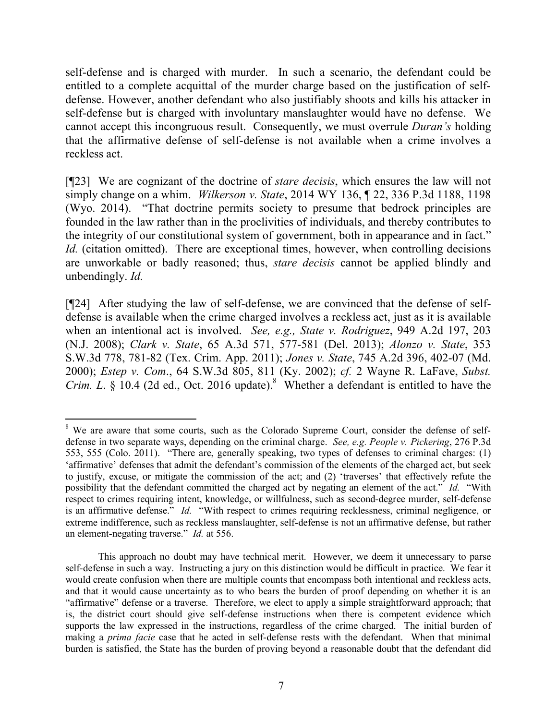self-defense and is charged with murder. In such a scenario, the defendant could be entitled to a complete acquittal of the murder charge based on the justification of selfdefense. However, another defendant who also justifiably shoots and kills his attacker in self-defense but is charged with involuntary manslaughter would have no defense. We cannot accept this incongruous result. Consequently, we must overrule *Duran's* holding that the affirmative defense of self-defense is not available when a crime involves a reckless act.

[¶23] We are cognizant of the doctrine of *stare decisis*, which ensures the law will not simply change on a whim. *Wilkerson v. State*, 2014 WY 136, ¶ 22, 336 P.3d 1188, 1198 (Wyo. 2014). "That doctrine permits society to presume that bedrock principles are founded in the law rather than in the proclivities of individuals, and thereby contributes to the integrity of our constitutional system of government, both in appearance and in fact." *Id.* (citation omitted). There are exceptional times, however, when controlling decisions are unworkable or badly reasoned; thus, *stare decisis* cannot be applied blindly and unbendingly. *Id.*

[¶24] After studying the law of self-defense, we are convinced that the defense of selfdefense is available when the crime charged involves a reckless act, just as it is available when an intentional act is involved. *See, e.g., State v. Rodriguez*, 949 A.2d 197, 203 (N.J. 2008); *Clark v. State*, 65 A.3d 571, 577-581 (Del. 2013); *Alonzo v. State*, 353 S.W.3d 778, 781-82 (Tex. Crim. App. 2011); *Jones v. State*, 745 A.2d 396, 402-07 (Md. 2000); *Estep v. Com*., 64 S.W.3d 805, 811 (Ky. 2002); *cf.* 2 Wayne R. LaFave, *Subst. Crim. L.* § 10.4 (2d ed., Oct. 2016 update).<sup>8</sup> Whether a defendant is entitled to have the

l

<sup>&</sup>lt;sup>8</sup> We are aware that some courts, such as the Colorado Supreme Court, consider the defense of selfdefense in two separate ways, depending on the criminal charge. *See, e.g. People v. Pickering*, 276 P.3d 553, 555 (Colo. 2011). "There are, generally speaking, two types of defenses to criminal charges: (1) 'affirmative' defenses that admit the defendant's commission of the elements of the charged act, but seek to justify, excuse, or mitigate the commission of the act; and (2) 'traverses' that effectively refute the possibility that the defendant committed the charged act by negating an element of the act." *Id.* "With respect to crimes requiring intent, knowledge, or willfulness, such as second-degree murder, self-defense is an affirmative defense." *Id.* "With respect to crimes requiring recklessness, criminal negligence, or extreme indifference, such as reckless manslaughter, self-defense is not an affirmative defense, but rather an element-negating traverse." *Id.* at 556.

This approach no doubt may have technical merit. However, we deem it unnecessary to parse self-defense in such a way. Instructing a jury on this distinction would be difficult in practice. We fear it would create confusion when there are multiple counts that encompass both intentional and reckless acts, and that it would cause uncertainty as to who bears the burden of proof depending on whether it is an "affirmative" defense or a traverse. Therefore, we elect to apply a simple straightforward approach; that is, the district court should give self-defense instructions when there is competent evidence which supports the law expressed in the instructions, regardless of the crime charged. The initial burden of making a *prima facie* case that he acted in self-defense rests with the defendant. When that minimal burden is satisfied, the State has the burden of proving beyond a reasonable doubt that the defendant did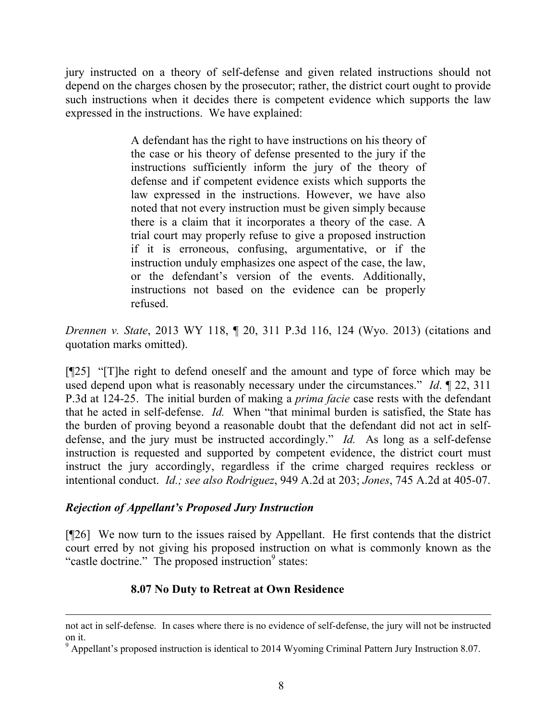jury instructed on a theory of self-defense and given related instructions should not depend on the charges chosen by the prosecutor; rather, the district court ought to provide such instructions when it decides there is competent evidence which supports the law expressed in the instructions. We have explained:

> A defendant has the right to have instructions on his theory of the case or his theory of defense presented to the jury if the instructions sufficiently inform the jury of the theory of defense and if competent evidence exists which supports the law expressed in the instructions. However, we have also noted that not every instruction must be given simply because there is a claim that it incorporates a theory of the case. A trial court may properly refuse to give a proposed instruction if it is erroneous, confusing, argumentative, or if the instruction unduly emphasizes one aspect of the case, the law, or the defendant's version of the events. Additionally, instructions not based on the evidence can be properly refused.

*Drennen v. State*, 2013 WY 118, ¶ 20, 311 P.3d 116, 124 (Wyo. 2013) (citations and quotation marks omitted).

[¶25] "[T]he right to defend oneself and the amount and type of force which may be used depend upon what is reasonably necessary under the circumstances." *Id*. ¶ 22, 311 P.3d at 124-25. The initial burden of making a *prima facie* case rests with the defendant that he acted in self-defense. *Id.* When "that minimal burden is satisfied, the State has the burden of proving beyond a reasonable doubt that the defendant did not act in selfdefense, and the jury must be instructed accordingly." *Id.* As long as a self-defense instruction is requested and supported by competent evidence, the district court must instruct the jury accordingly, regardless if the crime charged requires reckless or intentional conduct. *Id.; see also Rodriguez*, 949 A.2d at 203; *Jones*, 745 A.2d at 405-07.

## *Rejection of Appellant's Proposed Jury Instruction*

l

[¶26] We now turn to the issues raised by Appellant. He first contends that the district court erred by not giving his proposed instruction on what is commonly known as the "castle doctrine." The proposed instruction<sup>9</sup> states:

# **8.07 No Duty to Retreat at Own Residence**

not act in self-defense. In cases where there is no evidence of self-defense, the jury will not be instructed on it.

<sup>9</sup> Appellant's proposed instruction is identical to 2014 Wyoming Criminal Pattern Jury Instruction 8.07.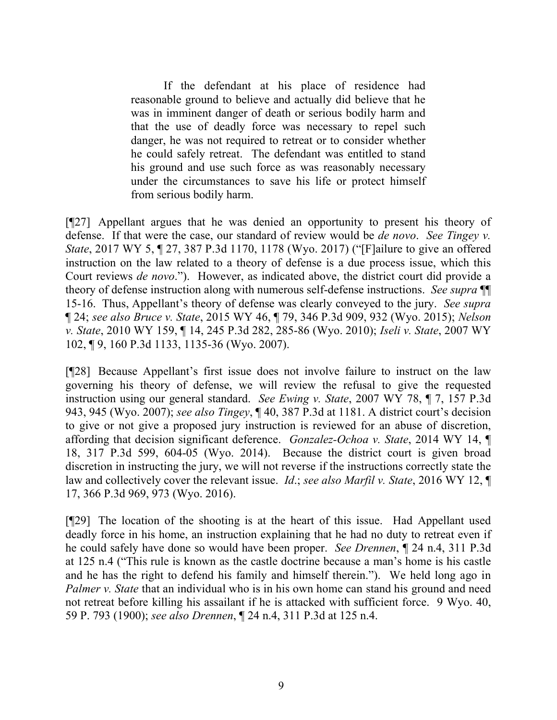If the defendant at his place of residence had reasonable ground to believe and actually did believe that he was in imminent danger of death or serious bodily harm and that the use of deadly force was necessary to repel such danger, he was not required to retreat or to consider whether he could safely retreat. The defendant was entitled to stand his ground and use such force as was reasonably necessary under the circumstances to save his life or protect himself from serious bodily harm.

[¶27] Appellant argues that he was denied an opportunity to present his theory of defense. If that were the case, our standard of review would be *de novo*. *See Tingey v. State*, 2017 WY 5, ¶ 27, 387 P.3d 1170, 1178 (Wyo. 2017) ("[F]ailure to give an offered instruction on the law related to a theory of defense is a due process issue, which this Court reviews *de novo*."). However, as indicated above, the district court did provide a theory of defense instruction along with numerous self-defense instructions. *See supra* ¶¶ 15-16. Thus, Appellant's theory of defense was clearly conveyed to the jury. *See supra* ¶ 24; *see also Bruce v. State*, 2015 WY 46, ¶ 79, 346 P.3d 909, 932 (Wyo. 2015); *Nelson v. State*, 2010 WY 159, ¶ 14, 245 P.3d 282, 285-86 (Wyo. 2010); *Iseli v. State*, 2007 WY 102, ¶ 9, 160 P.3d 1133, 1135-36 (Wyo. 2007).

[¶28] Because Appellant's first issue does not involve failure to instruct on the law governing his theory of defense, we will review the refusal to give the requested instruction using our general standard. *See Ewing v. State*, 2007 WY 78, ¶ 7, 157 P.3d 943, 945 (Wyo. 2007); *see also Tingey*, ¶ 40, 387 P.3d at 1181. A district court's decision to give or not give a proposed jury instruction is reviewed for an abuse of discretion, affording that decision significant deference. *Gonzalez-Ochoa v. State*, 2014 WY 14, ¶ 18, 317 P.3d 599, 604-05 (Wyo. 2014). Because the district court is given broad discretion in instructing the jury, we will not reverse if the instructions correctly state the law and collectively cover the relevant issue. *Id*.; *see also Marfil v. State*, 2016 WY 12, ¶ 17, 366 P.3d 969, 973 (Wyo. 2016).

[¶29] The location of the shooting is at the heart of this issue. Had Appellant used deadly force in his home, an instruction explaining that he had no duty to retreat even if he could safely have done so would have been proper. *See Drennen*, ¶ 24 n.4, 311 P.3d at 125 n.4 ("This rule is known as the castle doctrine because a man's home is his castle and he has the right to defend his family and himself therein."). We held long ago in *Palmer v. State* that an individual who is in his own home can stand his ground and need not retreat before killing his assailant if he is attacked with sufficient force. 9 Wyo. 40, 59 P. 793 (1900); *see also Drennen*, ¶ 24 n.4, 311 P.3d at 125 n.4.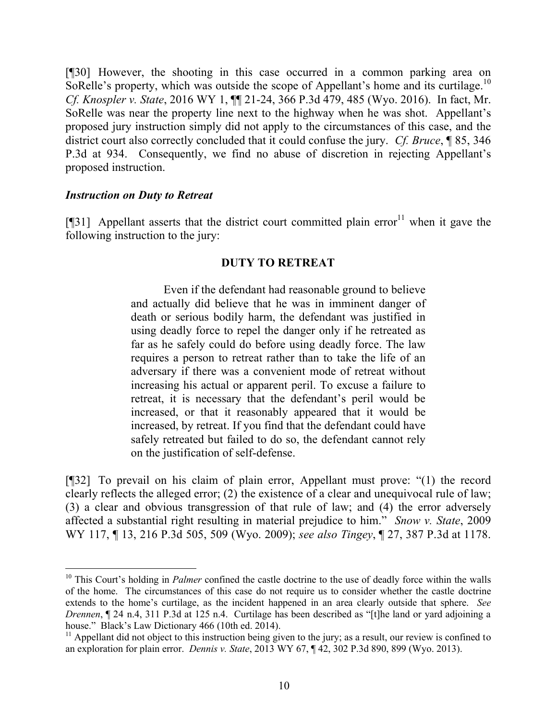[¶30] However, the shooting in this case occurred in a common parking area on SoRelle's property, which was outside the scope of Appellant's home and its curtilage.<sup>10</sup> *Cf. Knospler v. State*, 2016 WY 1, ¶¶ 21-24, 366 P.3d 479, 485 (Wyo. 2016). In fact, Mr. SoRelle was near the property line next to the highway when he was shot. Appellant's proposed jury instruction simply did not apply to the circumstances of this case, and the district court also correctly concluded that it could confuse the jury. *Cf. Bruce*, ¶ 85, 346 P.3d at 934. Consequently, we find no abuse of discretion in rejecting Appellant's proposed instruction.

#### *Instruction on Duty to Retreat*

l

[ $[$ ]] Appellant asserts that the district court committed plain error<sup>11</sup> when it gave the following instruction to the jury:

#### **DUTY TO RETREAT**

Even if the defendant had reasonable ground to believe and actually did believe that he was in imminent danger of death or serious bodily harm, the defendant was justified in using deadly force to repel the danger only if he retreated as far as he safely could do before using deadly force. The law requires a person to retreat rather than to take the life of an adversary if there was a convenient mode of retreat without increasing his actual or apparent peril. To excuse a failure to retreat, it is necessary that the defendant's peril would be increased, or that it reasonably appeared that it would be increased, by retreat. If you find that the defendant could have safely retreated but failed to do so, the defendant cannot rely on the justification of self-defense.

[¶32] To prevail on his claim of plain error, Appellant must prove: "(1) the record clearly reflects the alleged error; (2) the existence of a clear and unequivocal rule of law; (3) a clear and obvious transgression of that rule of law; and (4) the error adversely affected a substantial right resulting in material prejudice to him." *Snow v. State*, 2009 WY 117, ¶ 13, 216 P.3d 505, 509 (Wyo. 2009); *see also Tingey*, ¶ 27, 387 P.3d at 1178.

<sup>&</sup>lt;sup>10</sup> This Court's holding in *Palmer* confined the castle doctrine to the use of deadly force within the walls of the home. The circumstances of this case do not require us to consider whether the castle doctrine extends to the home's curtilage, as the incident happened in an area clearly outside that sphere. *See Drennen*, ¶ 24 n.4, 311 P.3d at 125 n.4. Curtilage has been described as "[t]he land or yard adjoining a house." Black's Law Dictionary 466 (10th ed. 2014).

 $11$  Appellant did not object to this instruction being given to the jury; as a result, our review is confined to an exploration for plain error. *Dennis v. State*, 2013 WY 67, ¶ 42, 302 P.3d 890, 899 (Wyo. 2013).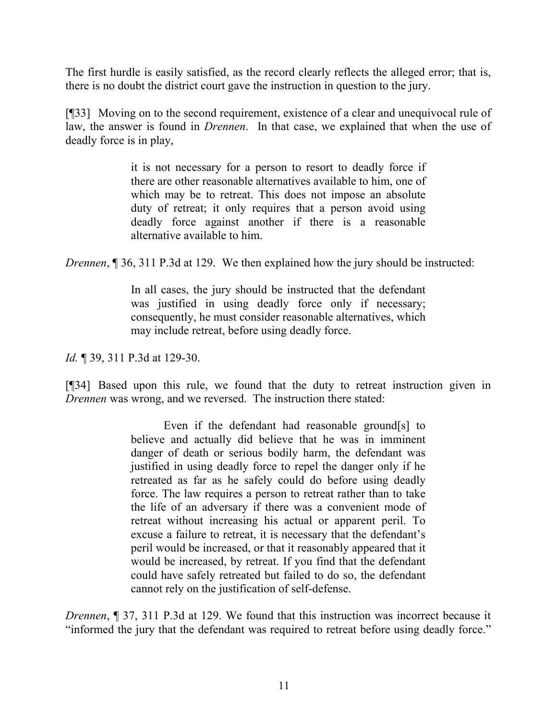The first hurdle is easily satisfied, as the record clearly reflects the alleged error; that is, there is no doubt the district court gave the instruction in question to the jury.

[¶33] Moving on to the second requirement, existence of a clear and unequivocal rule of law, the answer is found in *Drennen*. In that case, we explained that when the use of deadly force is in play,

> it is not necessary for a person to resort to deadly force if there are other reasonable alternatives available to him, one of which may be to retreat. This does not impose an absolute duty of retreat; it only requires that a person avoid using deadly force against another if there is a reasonable alternative available to him.

*Drennen*, 1 36, 311 P.3d at 129. We then explained how the jury should be instructed:

In all cases, the jury should be instructed that the defendant was justified in using deadly force only if necessary; consequently, he must consider reasonable alternatives, which may include retreat, before using deadly force.

*Id.* 139, 311 P.3d at 129-30.

[¶34] Based upon this rule, we found that the duty to retreat instruction given in *Drennen* was wrong, and we reversed. The instruction there stated:

> Even if the defendant had reasonable ground[s] to believe and actually did believe that he was in imminent danger of death or serious bodily harm, the defendant was justified in using deadly force to repel the danger only if he retreated as far as he safely could do before using deadly force. The law requires a person to retreat rather than to take the life of an adversary if there was a convenient mode of retreat without increasing his actual or apparent peril. To excuse a failure to retreat, it is necessary that the defendant's peril would be increased, or that it reasonably appeared that it would be increased, by retreat. If you find that the defendant could have safely retreated but failed to do so, the defendant cannot rely on the justification of self-defense.

*Drennen*, ¶ 37, 311 P.3d at 129. We found that this instruction was incorrect because it "informed the jury that the defendant was required to retreat before using deadly force."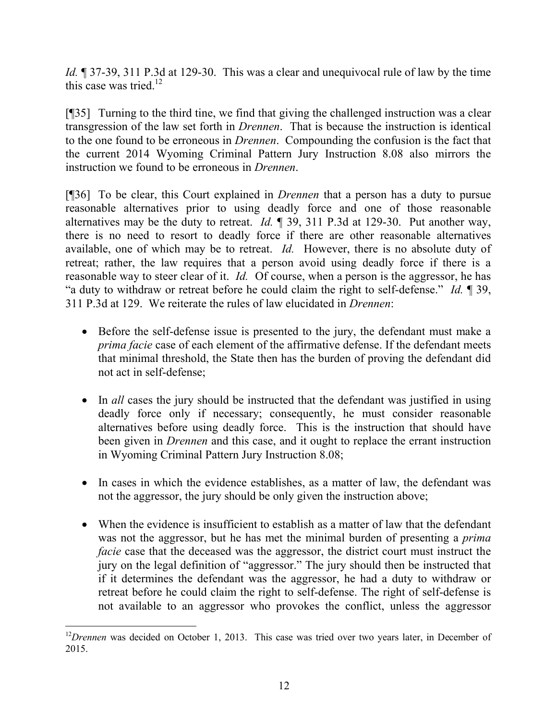*Id.*  $\sim$  37-39, 311 P.3d at 129-30. This was a clear and unequivocal rule of law by the time this case was tried. $12$ 

[¶35] Turning to the third tine, we find that giving the challenged instruction was a clear transgression of the law set forth in *Drennen*. That is because the instruction is identical to the one found to be erroneous in *Drennen*. Compounding the confusion is the fact that the current 2014 Wyoming Criminal Pattern Jury Instruction 8.08 also mirrors the instruction we found to be erroneous in *Drennen*.

[¶36] To be clear, this Court explained in *Drennen* that a person has a duty to pursue reasonable alternatives prior to using deadly force and one of those reasonable alternatives may be the duty to retreat. *Id.* ¶ 39, 311 P.3d at 129-30. Put another way, there is no need to resort to deadly force if there are other reasonable alternatives available, one of which may be to retreat. *Id.* However, there is no absolute duty of retreat; rather, the law requires that a person avoid using deadly force if there is a reasonable way to steer clear of it. *Id.* Of course, when a person is the aggressor, he has "a duty to withdraw or retreat before he could claim the right to self-defense." *Id.* ¶ 39, 311 P.3d at 129. We reiterate the rules of law elucidated in *Drennen*:

- Before the self-defense issue is presented to the jury, the defendant must make a *prima facie* case of each element of the affirmative defense. If the defendant meets that minimal threshold, the State then has the burden of proving the defendant did not act in self-defense;
- In *all* cases the jury should be instructed that the defendant was justified in using deadly force only if necessary; consequently, he must consider reasonable alternatives before using deadly force. This is the instruction that should have been given in *Drennen* and this case, and it ought to replace the errant instruction in Wyoming Criminal Pattern Jury Instruction 8.08;
- In cases in which the evidence establishes, as a matter of law, the defendant was not the aggressor, the jury should be only given the instruction above;
- When the evidence is insufficient to establish as a matter of law that the defendant was not the aggressor, but he has met the minimal burden of presenting a *prima facie* case that the deceased was the aggressor, the district court must instruct the jury on the legal definition of "aggressor." The jury should then be instructed that if it determines the defendant was the aggressor, he had a duty to withdraw or retreat before he could claim the right to self-defense. The right of self-defense is not available to an aggressor who provokes the conflict, unless the aggressor

<sup>&</sup>lt;sup>12</sup>Drennen was decided on October 1, 2013. This case was tried over two years later, in December of 2015.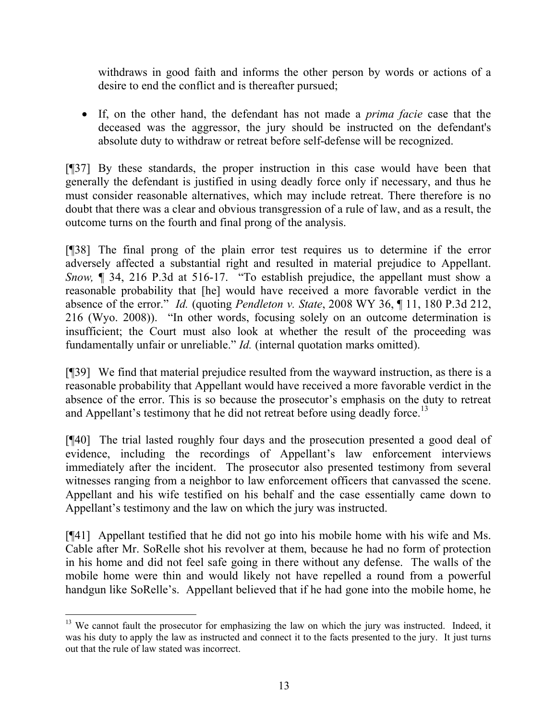withdraws in good faith and informs the other person by words or actions of a desire to end the conflict and is thereafter pursued;

 If, on the other hand, the defendant has not made a *prima facie* case that the deceased was the aggressor, the jury should be instructed on the defendant's absolute duty to withdraw or retreat before self-defense will be recognized.

[¶37] By these standards, the proper instruction in this case would have been that generally the defendant is justified in using deadly force only if necessary, and thus he must consider reasonable alternatives, which may include retreat. There therefore is no doubt that there was a clear and obvious transgression of a rule of law, and as a result, the outcome turns on the fourth and final prong of the analysis.

[¶38] The final prong of the plain error test requires us to determine if the error adversely affected a substantial right and resulted in material prejudice to Appellant. *Snow,* ¶ 34, 216 P.3d at 516-17. "To establish prejudice, the appellant must show a reasonable probability that [he] would have received a more favorable verdict in the absence of the error." *Id.* (quoting *Pendleton v. State*, 2008 WY 36, ¶ 11, 180 P.3d 212, 216 (Wyo. 2008)). "In other words, focusing solely on an outcome determination is insufficient; the Court must also look at whether the result of the proceeding was fundamentally unfair or unreliable." *Id.* (internal quotation marks omitted).

[¶39] We find that material prejudice resulted from the wayward instruction, as there is a reasonable probability that Appellant would have received a more favorable verdict in the absence of the error. This is so because the prosecutor's emphasis on the duty to retreat and Appellant's testimony that he did not retreat before using deadly force.<sup>13</sup>

[¶40] The trial lasted roughly four days and the prosecution presented a good deal of evidence, including the recordings of Appellant's law enforcement interviews immediately after the incident. The prosecutor also presented testimony from several witnesses ranging from a neighbor to law enforcement officers that canvassed the scene. Appellant and his wife testified on his behalf and the case essentially came down to Appellant's testimony and the law on which the jury was instructed.

[¶41] Appellant testified that he did not go into his mobile home with his wife and Ms. Cable after Mr. SoRelle shot his revolver at them, because he had no form of protection in his home and did not feel safe going in there without any defense. The walls of the mobile home were thin and would likely not have repelled a round from a powerful handgun like SoRelle's. Appellant believed that if he had gone into the mobile home, he

l

<sup>&</sup>lt;sup>13</sup> We cannot fault the prosecutor for emphasizing the law on which the jury was instructed. Indeed, it was his duty to apply the law as instructed and connect it to the facts presented to the jury. It just turns out that the rule of law stated was incorrect.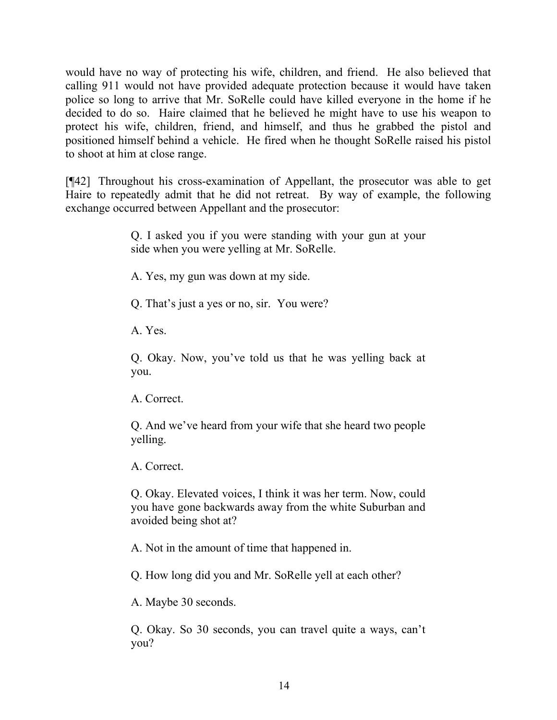would have no way of protecting his wife, children, and friend. He also believed that calling 911 would not have provided adequate protection because it would have taken police so long to arrive that Mr. SoRelle could have killed everyone in the home if he decided to do so. Haire claimed that he believed he might have to use his weapon to protect his wife, children, friend, and himself, and thus he grabbed the pistol and positioned himself behind a vehicle. He fired when he thought SoRelle raised his pistol to shoot at him at close range.

[¶42] Throughout his cross-examination of Appellant, the prosecutor was able to get Haire to repeatedly admit that he did not retreat. By way of example, the following exchange occurred between Appellant and the prosecutor:

> Q. I asked you if you were standing with your gun at your side when you were yelling at Mr. SoRelle.

A. Yes, my gun was down at my side.

Q. That's just a yes or no, sir. You were?

A. Yes.

Q. Okay. Now, you've told us that he was yelling back at you.

A. Correct.

Q. And we've heard from your wife that she heard two people yelling.

A. Correct.

Q. Okay. Elevated voices, I think it was her term. Now, could you have gone backwards away from the white Suburban and avoided being shot at?

A. Not in the amount of time that happened in.

Q. How long did you and Mr. SoRelle yell at each other?

A. Maybe 30 seconds.

Q. Okay. So 30 seconds, you can travel quite a ways, can't you?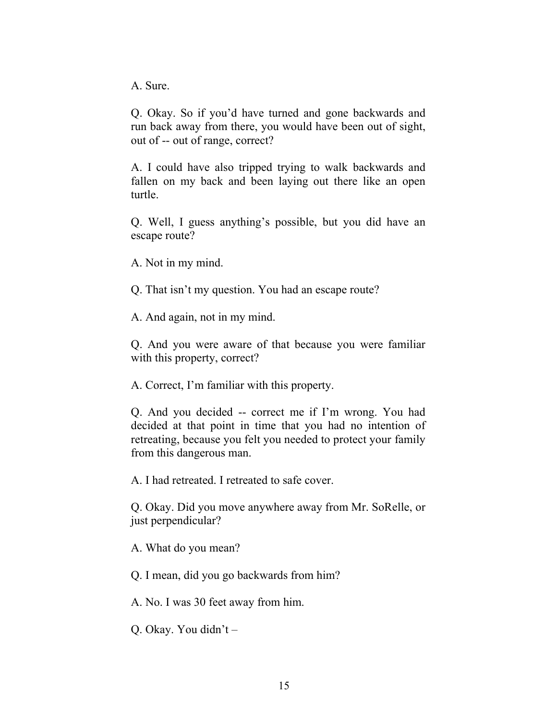A. Sure.

Q. Okay. So if you'd have turned and gone backwards and run back away from there, you would have been out of sight, out of -- out of range, correct?

A. I could have also tripped trying to walk backwards and fallen on my back and been laying out there like an open turtle.

Q. Well, I guess anything's possible, but you did have an escape route?

A. Not in my mind.

Q. That isn't my question. You had an escape route?

A. And again, not in my mind.

Q. And you were aware of that because you were familiar with this property, correct?

A. Correct, I'm familiar with this property.

Q. And you decided -- correct me if I'm wrong. You had decided at that point in time that you had no intention of retreating, because you felt you needed to protect your family from this dangerous man.

A. I had retreated. I retreated to safe cover.

Q. Okay. Did you move anywhere away from Mr. SoRelle, or just perpendicular?

A. What do you mean?

Q. I mean, did you go backwards from him?

A. No. I was 30 feet away from him.

Q. Okay. You didn't –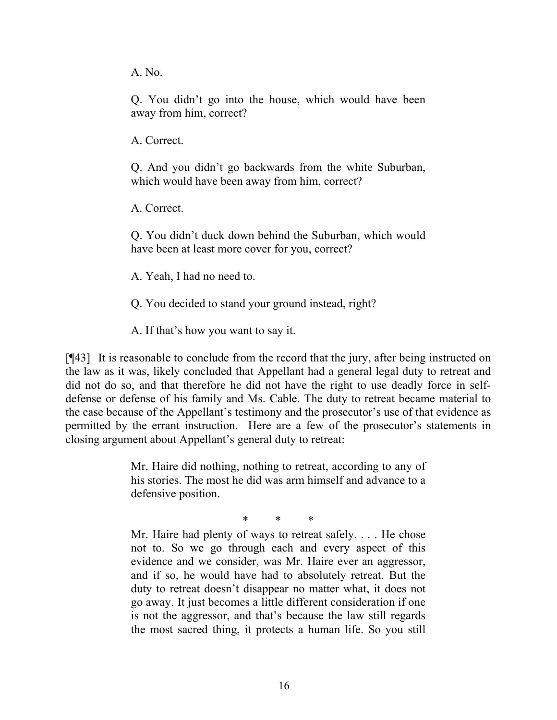A. No.

Q. You didn't go into the house, which would have been away from him, correct?

A. Correct.

Q. And you didn't go backwards from the white Suburban, which would have been away from him, correct?

A. Correct.

Q. You didn't duck down behind the Suburban, which would have been at least more cover for you, correct?

A. Yeah, I had no need to.

Q. You decided to stand your ground instead, right?

A. If that's how you want to say it.

[¶43] It is reasonable to conclude from the record that the jury, after being instructed on the law as it was, likely concluded that Appellant had a general legal duty to retreat and did not do so, and that therefore he did not have the right to use deadly force in selfdefense or defense of his family and Ms. Cable. The duty to retreat became material to the case because of the Appellant's testimony and the prosecutor's use of that evidence as permitted by the errant instruction. Here are a few of the prosecutor's statements in closing argument about Appellant's general duty to retreat:

> Mr. Haire did nothing, nothing to retreat, according to any of his stories. The most he did was arm himself and advance to a defensive position.

> > \* \* \*

Mr. Haire had plenty of ways to retreat safely. . . . He chose not to. So we go through each and every aspect of this evidence and we consider, was Mr. Haire ever an aggressor, and if so, he would have had to absolutely retreat. But the duty to retreat doesn't disappear no matter what, it does not go away. It just becomes a little different consideration if one is not the aggressor, and that's because the law still regards the most sacred thing, it protects a human life. So you still